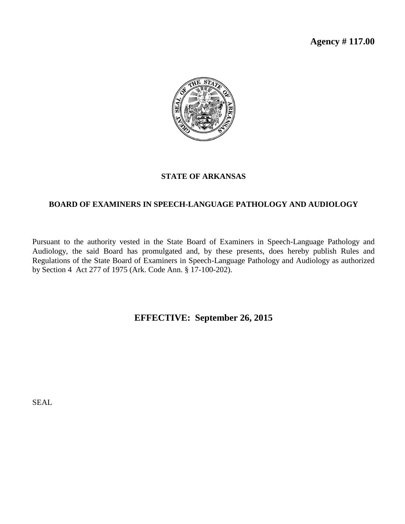**Agency # 117.00**



## **STATE OF ARKANSAS**

## **BOARD OF EXAMINERS IN SPEECH-LANGUAGE PATHOLOGY AND AUDIOLOGY**

Pursuant to the authority vested in the State Board of Examiners in Speech-Language Pathology and Audiology, the said Board has promulgated and, by these presents, does hereby publish Rules and Regulations of the State Board of Examiners in Speech-Language Pathology and Audiology as authorized by Section 4 Act 277 of 1975 (Ark. Code Ann. § 17-100-202).

**EFFECTIVE: September 26, 2015**

SEAL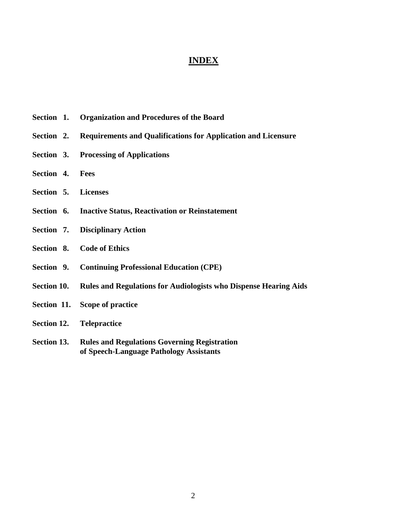## **INDEX**

|  | Section 1. |  | <b>Organization and Procedures of the Board</b> |  |
|--|------------|--|-------------------------------------------------|--|
|--|------------|--|-------------------------------------------------|--|

- **Section 2. Requirements and Qualifications for Application and Licensure**
- **Section 3. Processing of Applications**
- **Section 4. Fees**
- **Section 5. Licenses**
- **Section 6. Inactive Status, Reactivation or Reinstatement**
- **Section 7. Disciplinary Action**
- **Section 8. Code of Ethics**
- **Section 9. Continuing Professional Education (CPE)**
- **Section 10. Rules and Regulations for Audiologists who Dispense Hearing Aids**
- **Section 11. Scope of practice**
- **Section 12. Telepractice**
- **Section 13. Rules and Regulations Governing Registration of Speech-Language Pathology Assistants**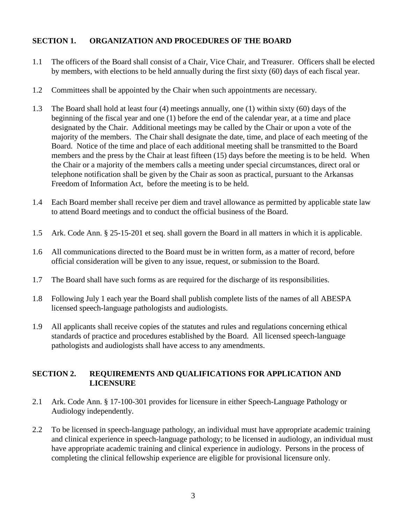## **SECTION 1. ORGANIZATION AND PROCEDURES OF THE BOARD**

- 1.1 The officers of the Board shall consist of a Chair, Vice Chair, and Treasurer. Officers shall be elected by members, with elections to be held annually during the first sixty (60) days of each fiscal year.
- 1.2 Committees shall be appointed by the Chair when such appointments are necessary.
- 1.3 The Board shall hold at least four (4) meetings annually, one (1) within sixty (60) days of the beginning of the fiscal year and one (1) before the end of the calendar year, at a time and place designated by the Chair. Additional meetings may be called by the Chair or upon a vote of the majority of the members. The Chair shall designate the date, time, and place of each meeting of the Board. Notice of the time and place of each additional meeting shall be transmitted to the Board members and the press by the Chair at least fifteen (15) days before the meeting is to be held. When the Chair or a majority of the members calls a meeting under special circumstances, direct oral or telephone notification shall be given by the Chair as soon as practical, pursuant to the Arkansas Freedom of Information Act, before the meeting is to be held.
- 1.4 Each Board member shall receive per diem and travel allowance as permitted by applicable state law to attend Board meetings and to conduct the official business of the Board.
- 1.5 Ark. Code Ann. § 25-15-201 et seq. shall govern the Board in all matters in which it is applicable.
- 1.6 All communications directed to the Board must be in written form, as a matter of record, before official consideration will be given to any issue, request, or submission to the Board.
- 1.7 The Board shall have such forms as are required for the discharge of its responsibilities.
- 1.8 Following July 1 each year the Board shall publish complete lists of the names of all ABESPA licensed speech-language pathologists and audiologists.
- 1.9 All applicants shall receive copies of the statutes and rules and regulations concerning ethical standards of practice and procedures established by the Board. All licensed speech-language pathologists and audiologists shall have access to any amendments.

## **SECTION 2. REQUIREMENTS AND QUALIFICATIONS FOR APPLICATION AND LICENSURE**

- 2.1 Ark. Code Ann. § 17-100-301 provides for licensure in either Speech-Language Pathology or Audiology independently.
- 2.2 To be licensed in speech-language pathology, an individual must have appropriate academic training and clinical experience in speech-language pathology; to be licensed in audiology, an individual must have appropriate academic training and clinical experience in audiology. Persons in the process of completing the clinical fellowship experience are eligible for provisional licensure only.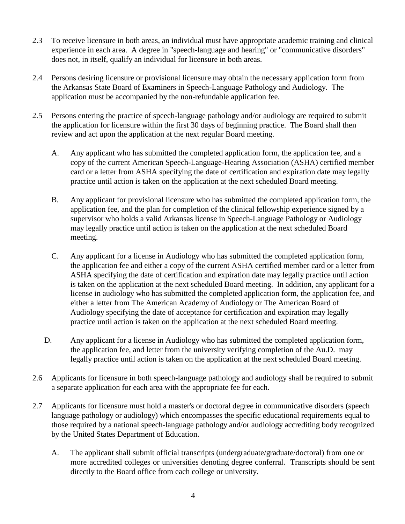- 2.3 To receive licensure in both areas, an individual must have appropriate academic training and clinical experience in each area. A degree in "speech-language and hearing" or "communicative disorders" does not, in itself, qualify an individual for licensure in both areas.
- 2.4 Persons desiring licensure or provisional licensure may obtain the necessary application form from the Arkansas State Board of Examiners in Speech-Language Pathology and Audiology. The application must be accompanied by the non-refundable application fee.
- 2.5 Persons entering the practice of speech-language pathology and/or audiology are required to submit the application for licensure within the first 30 days of beginning practice. The Board shall then review and act upon the application at the next regular Board meeting.
	- A. Any applicant who has submitted the completed application form, the application fee, and a copy of the current American Speech-Language-Hearing Association (ASHA) certified member card or a letter from ASHA specifying the date of certification and expiration date may legally practice until action is taken on the application at the next scheduled Board meeting.
	- B. Any applicant for provisional licensure who has submitted the completed application form, the application fee, and the plan for completion of the clinical fellowship experience signed by a supervisor who holds a valid Arkansas license in Speech-Language Pathology or Audiology may legally practice until action is taken on the application at the next scheduled Board meeting.
	- C. Any applicant for a license in Audiology who has submitted the completed application form, the application fee and either a copy of the current ASHA certified member card or a letter from ASHA specifying the date of certification and expiration date may legally practice until action is taken on the application at the next scheduled Board meeting. In addition, any applicant for a license in audiology who has submitted the completed application form, the application fee, and either a letter from The American Academy of Audiology or The American Board of Audiology specifying the date of acceptance for certification and expiration may legally practice until action is taken on the application at the next scheduled Board meeting.
	- D. Any applicant for a license in Audiology who has submitted the completed application form, the application fee, and letter from the university verifying completion of the Au.D. may legally practice until action is taken on the application at the next scheduled Board meeting.
- 2.6 Applicants for licensure in both speech-language pathology and audiology shall be required to submit a separate application for each area with the appropriate fee for each.
- 2.7 Applicants for licensure must hold a master's or doctoral degree in communicative disorders (speech language pathology or audiology) which encompasses the specific educational requirements equal to those required by a national speech-language pathology and/or audiology accrediting body recognized by the United States Department of Education.
	- A. The applicant shall submit official transcripts (undergraduate/graduate/doctoral) from one or more accredited colleges or universities denoting degree conferral. Transcripts should be sent directly to the Board office from each college or university.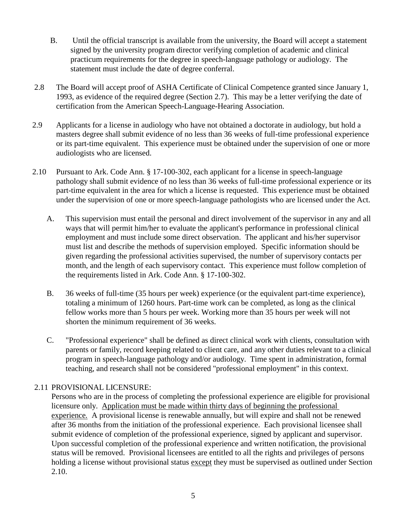- B. Until the official transcript is available from the university, the Board will accept a statement signed by the university program director verifying completion of academic and clinical practicum requirements for the degree in speech-language pathology or audiology. The statement must include the date of degree conferral.
- 2.8 The Board will accept proof of ASHA Certificate of Clinical Competence granted since January 1, 1993, as evidence of the required degree (Section 2.7). This may be a letter verifying the date of certification from the American Speech-Language-Hearing Association.
- 2.9 Applicants for a license in audiology who have not obtained a doctorate in audiology, but hold a masters degree shall submit evidence of no less than 36 weeks of full-time professional experience or its part-time equivalent. This experience must be obtained under the supervision of one or more audiologists who are licensed.
- 2.10 Pursuant to Ark. Code Ann. § 17-100-302, each applicant for a license in speech-language pathology shall submit evidence of no less than 36 weeks of full-time professional experience or its part-time equivalent in the area for which a license is requested. This experience must be obtained under the supervision of one or more speech-language pathologists who are licensed under the Act.
	- A. This supervision must entail the personal and direct involvement of the supervisor in any and all ways that will permit him/her to evaluate the applicant's performance in professional clinical employment and must include some direct observation. The applicant and his/her supervisor must list and describe the methods of supervision employed. Specific information should be given regarding the professional activities supervised, the number of supervisory contacts per month, and the length of each supervisory contact. This experience must follow completion of the requirements listed in Ark. Code Ann. § 17-100-302.
	- B. 36 weeks of full-time (35 hours per week) experience (or the equivalent part-time experience), totaling a minimum of 1260 hours. Part-time work can be completed, as long as the clinical fellow works more than 5 hours per week. Working more than 35 hours per week will not shorten the minimum requirement of 36 weeks.
	- C. "Professional experience" shall be defined as direct clinical work with clients, consultation with parents or family, record keeping related to client care, and any other duties relevant to a clinical program in speech-language pathology and/or audiology. Time spent in administration, formal teaching, and research shall not be considered "professional employment" in this context.

# 2.11 PROVISIONAL LICENSURE:

Persons who are in the process of completing the professional experience are eligible for provisional licensure only. Application must be made within thirty days of beginning the professional experience*.* A provisional license is renewable annually, but will expire and shall not be renewed after 36 months from the initiation of the professional experience. Each provisional licensee shall submit evidence of completion of the professional experience, signed by applicant and supervisor. Upon successful completion of the professional experience and written notification, the provisional status will be removed. Provisional licensees are entitled to all the rights and privileges of persons holding a license without provisional status except they must be supervised as outlined under Section 2.10.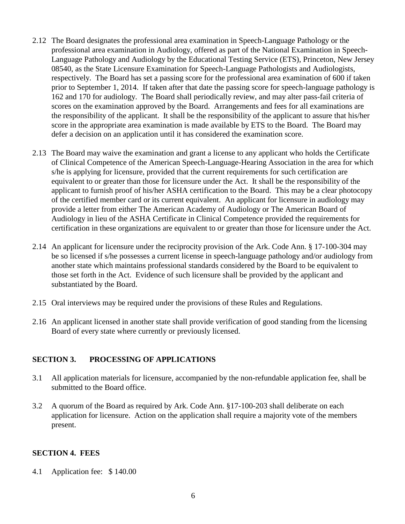- 2.12 The Board designates the professional area examination in Speech-Language Pathology or the professional area examination in Audiology, offered as part of the National Examination in Speech-Language Pathology and Audiology by the Educational Testing Service (ETS), Princeton, New Jersey 08540, as the State Licensure Examination for Speech-Language Pathologists and Audiologists, respectively. The Board has set a passing score for the professional area examination of 600 if taken prior to September 1, 2014. If taken after that date the passing score for speech-language pathology is 162 and 170 for audiology. The Board shall periodically review, and may alter pass-fail criteria of scores on the examination approved by the Board. Arrangements and fees for all examinations are the responsibility of the applicant. It shall be the responsibility of the applicant to assure that his/her score in the appropriate area examination is made available by ETS to the Board. The Board may defer a decision on an application until it has considered the examination score.
- 2.13 The Board may waive the examination and grant a license to any applicant who holds the Certificate of Clinical Competence of the American Speech-Language-Hearing Association in the area for which s/he is applying for licensure, provided that the current requirements for such certification are equivalent to or greater than those for licensure under the Act. It shall be the responsibility of the applicant to furnish proof of his/her ASHA certification to the Board. This may be a clear photocopy of the certified member card or its current equivalent. An applicant for licensure in audiology may provide a letter from either The American Academy of Audiology or The American Board of Audiology in lieu of the ASHA Certificate in Clinical Competence provided the requirements for certification in these organizations are equivalent to or greater than those for licensure under the Act.
- 2.14 An applicant for licensure under the reciprocity provision of the Ark. Code Ann. § 17-100-304 may be so licensed if s/he possesses a current license in speech-language pathology and/or audiology from another state which maintains professional standards considered by the Board to be equivalent to those set forth in the Act. Evidence of such licensure shall be provided by the applicant and substantiated by the Board.
- 2.15 Oral interviews may be required under the provisions of these Rules and Regulations.
- 2.16 An applicant licensed in another state shall provide verification of good standing from the licensing Board of every state where currently or previously licensed.

## **SECTION 3. PROCESSING OF APPLICATIONS**

- 3.1 All application materials for licensure, accompanied by the non-refundable application fee, shall be submitted to the Board office.
- 3.2 A quorum of the Board as required by Ark. Code Ann. §17-100-203 shall deliberate on each application for licensure. Action on the application shall require a majority vote of the members present.

## **SECTION 4. FEES**

4.1 Application fee: \$ 140.00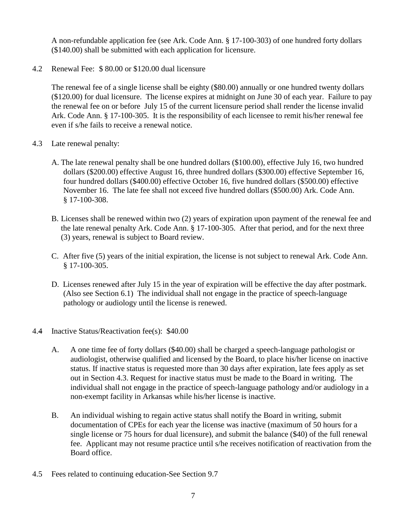A non-refundable application fee (see Ark. Code Ann. § 17-100-303) of one hundred forty dollars (\$140.00) shall be submitted with each application for licensure.

4.2 Renewal Fee: \$ 80.00 or \$120.00 dual licensure

The renewal fee of a single license shall be eighty (\$80.00) annually or one hundred twenty dollars (\$120.00) for dual licensure. The license expires at midnight on June 30 of each year. Failure to pay the renewal fee on or before July 15 of the current licensure period shall render the license invalid Ark. Code Ann. § 17-100-305. It is the responsibility of each licensee to remit his/her renewal fee even if s/he fails to receive a renewal notice.

- 4.3 Late renewal penalty:
	- A. The late renewal penalty shall be one hundred dollars (\$100.00), effective July 16, two hundred dollars (\$200.00) effective August 16, three hundred dollars (\$300.00) effective September 16, four hundred dollars (\$400.00) effective October 16, five hundred dollars (\$500.00) effective November 16. The late fee shall not exceed five hundred dollars (\$500.00) Ark. Code Ann. § 17-100-308.
	- B. Licenses shall be renewed within two (2) years of expiration upon payment of the renewal fee and the late renewal penalty Ark. Code Ann. § 17-100-305. After that period, and for the next three (3) years, renewal is subject to Board review.
	- C. After five (5) years of the initial expiration, the license is not subject to renewal Ark. Code Ann. § 17-100-305.
	- D. Licenses renewed after July 15 in the year of expiration will be effective the day after postmark. (Also see Section 6.1) The individual shall not engage in the practice of speech-language pathology or audiology until the license is renewed.
- 4.4 Inactive Status/Reactivation fee(s): \$40.00
	- A. A one time fee of forty dollars (\$40.00) shall be charged a speech-language pathologist or audiologist, otherwise qualified and licensed by the Board, to place his/her license on inactive status. If inactive status is requested more than 30 days after expiration, late fees apply as set out in Section 4.3. Request for inactive status must be made to the Board in writing. The individual shall not engage in the practice of speech-language pathology and/or audiology in a non-exempt facility in Arkansas while his/her license is inactive.
	- B. An individual wishing to regain active status shall notify the Board in writing, submit documentation of CPEs for each year the license was inactive (maximum of 50 hours for a single license or 75 hours for dual licensure), and submit the balance (\$40) of the full renewal fee. Applicant may not resume practice until s/he receives notification of reactivation from the Board office.
- 4.5 Fees related to continuing education-See Section 9.7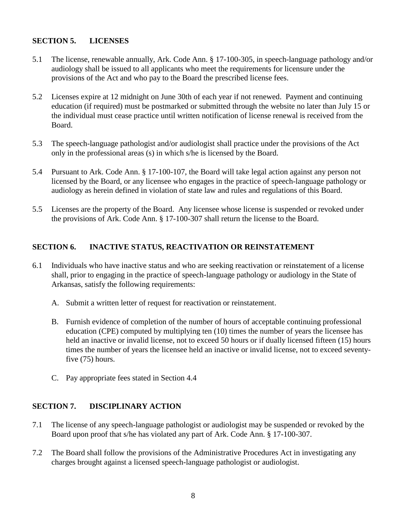## **SECTION 5. LICENSES**

- 5.1 The license, renewable annually, Ark. Code Ann. § 17-100-305, in speech-language pathology and/or audiology shall be issued to all applicants who meet the requirements for licensure under the provisions of the Act and who pay to the Board the prescribed license fees.
- 5.2 Licenses expire at 12 midnight on June 30th of each year if not renewed. Payment and continuing education (if required) must be postmarked or submitted through the website no later than July 15 or the individual must cease practice until written notification of license renewal is received from the Board.
- 5.3 The speech-language pathologist and/or audiologist shall practice under the provisions of the Act only in the professional areas (s) in which s/he is licensed by the Board.
- 5.4 Pursuant to Ark. Code Ann. § 17-100-107, the Board will take legal action against any person not licensed by the Board, or any licensee who engages in the practice of speech-language pathology or audiology as herein defined in violation of state law and rules and regulations of this Board.
- 5.5 Licenses are the property of the Board. Any licensee whose license is suspended or revoked under the provisions of Ark. Code Ann. § 17-100-307 shall return the license to the Board.

## **SECTION 6. INACTIVE STATUS, REACTIVATION OR REINSTATEMENT**

- 6.1 Individuals who have inactive status and who are seeking reactivation or reinstatement of a license shall, prior to engaging in the practice of speech-language pathology or audiology in the State of Arkansas, satisfy the following requirements:
	- A. Submit a written letter of request for reactivation or reinstatement.
	- B. Furnish evidence of completion of the number of hours of acceptable continuing professional education (CPE) computed by multiplying ten (10) times the number of years the licensee has held an inactive or invalid license, not to exceed 50 hours or if dually licensed fifteen (15) hours times the number of years the licensee held an inactive or invalid license, not to exceed seventyfive (75) hours.
	- C. Pay appropriate fees stated in Section 4.4

## **SECTION 7. DISCIPLINARY ACTION**

- 7.1 The license of any speech-language pathologist or audiologist may be suspended or revoked by the Board upon proof that s/he has violated any part of Ark. Code Ann. § 17-100-307.
- 7.2 The Board shall follow the provisions of the Administrative Procedures Act in investigating any charges brought against a licensed speech-language pathologist or audiologist.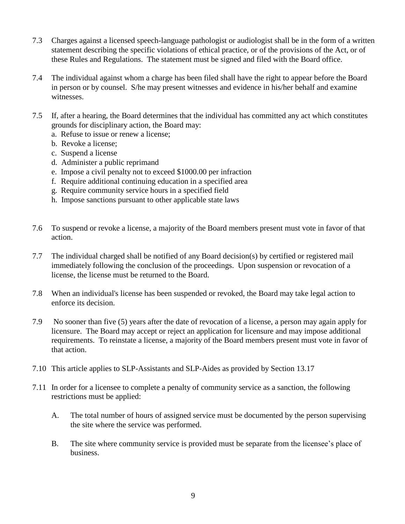- 7.3 Charges against a licensed speech-language pathologist or audiologist shall be in the form of a written statement describing the specific violations of ethical practice, or of the provisions of the Act, or of these Rules and Regulations. The statement must be signed and filed with the Board office.
- 7.4 The individual against whom a charge has been filed shall have the right to appear before the Board in person or by counsel. S/he may present witnesses and evidence in his/her behalf and examine witnesses.
- 7.5 If, after a hearing, the Board determines that the individual has committed any act which constitutes grounds for disciplinary action, the Board may:
	- a. Refuse to issue or renew a license;
	- b. Revoke a license;
	- c. Suspend a license
	- d. Administer a public reprimand
	- e. Impose a civil penalty not to exceed \$1000.00 per infraction
	- f. Require additional continuing education in a specified area
	- g. Require community service hours in a specified field
	- h. Impose sanctions pursuant to other applicable state laws
- 7.6 To suspend or revoke a license, a majority of the Board members present must vote in favor of that action.
- 7.7 The individual charged shall be notified of any Board decision(s) by certified or registered mail immediately following the conclusion of the proceedings. Upon suspension or revocation of a license, the license must be returned to the Board.
- 7.8 When an individual's license has been suspended or revoked, the Board may take legal action to enforce its decision.
- 7.9 No sooner than five (5) years after the date of revocation of a license, a person may again apply for licensure. The Board may accept or reject an application for licensure and may impose additional requirements. To reinstate a license, a majority of the Board members present must vote in favor of that action.
- 7.10 This article applies to SLP-Assistants and SLP-Aides as provided by Section 13.17
- 7.11 In order for a licensee to complete a penalty of community service as a sanction, the following restrictions must be applied:
	- A. The total number of hours of assigned service must be documented by the person supervising the site where the service was performed.
	- B. The site where community service is provided must be separate from the licensee's place of business.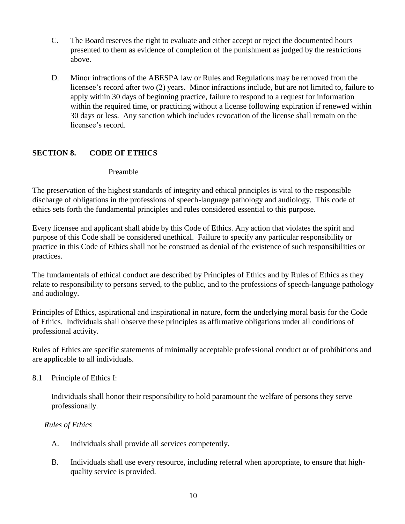- C. The Board reserves the right to evaluate and either accept or reject the documented hours presented to them as evidence of completion of the punishment as judged by the restrictions above.
- D. Minor infractions of the ABESPA law or Rules and Regulations may be removed from the licensee's record after two (2) years. Minor infractions include, but are not limited to, failure to apply within 30 days of beginning practice, failure to respond to a request for information within the required time, or practicing without a license following expiration if renewed within 30 days or less. Any sanction which includes revocation of the license shall remain on the licensee's record.

## **SECTION 8. CODE OF ETHICS**

#### Preamble

The preservation of the highest standards of integrity and ethical principles is vital to the responsible discharge of obligations in the professions of speech-language pathology and audiology. This code of ethics sets forth the fundamental principles and rules considered essential to this purpose.

Every licensee and applicant shall abide by this Code of Ethics. Any action that violates the spirit and purpose of this Code shall be considered unethical. Failure to specify any particular responsibility or practice in this Code of Ethics shall not be construed as denial of the existence of such responsibilities or practices.

The fundamentals of ethical conduct are described by Principles of Ethics and by Rules of Ethics as they relate to responsibility to persons served, to the public, and to the professions of speech-language pathology and audiology.

Principles of Ethics, aspirational and inspirational in nature, form the underlying moral basis for the Code of Ethics. Individuals shall observe these principles as affirmative obligations under all conditions of professional activity.

Rules of Ethics are specific statements of minimally acceptable professional conduct or of prohibitions and are applicable to all individuals.

## 8.1 Principle of Ethics I:

Individuals shall honor their responsibility to hold paramount the welfare of persons they serve professionally.

# *Rules of Ethics*

- A. Individuals shall provide all services competently.
- B. Individuals shall use every resource, including referral when appropriate, to ensure that highquality service is provided.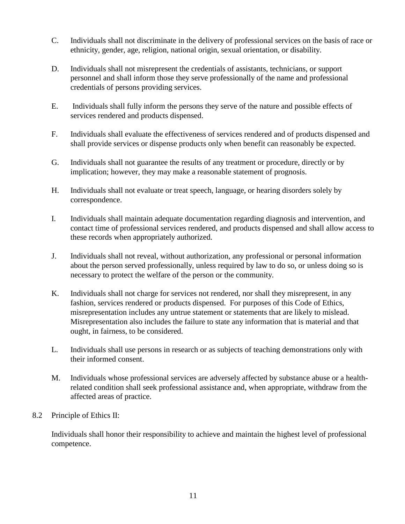- C. Individuals shall not discriminate in the delivery of professional services on the basis of race or ethnicity, gender, age, religion, national origin, sexual orientation, or disability.
- D. Individuals shall not misrepresent the credentials of assistants, technicians, or support personnel and shall inform those they serve professionally of the name and professional credentials of persons providing services.
- E. Individuals shall fully inform the persons they serve of the nature and possible effects of services rendered and products dispensed.
- F. Individuals shall evaluate the effectiveness of services rendered and of products dispensed and shall provide services or dispense products only when benefit can reasonably be expected.
- G. Individuals shall not guarantee the results of any treatment or procedure, directly or by implication; however, they may make a reasonable statement of prognosis.
- H. Individuals shall not evaluate or treat speech, language, or hearing disorders solely by correspondence.
- I. Individuals shall maintain adequate documentation regarding diagnosis and intervention, and contact time of professional services rendered, and products dispensed and shall allow access to these records when appropriately authorized.
- J. Individuals shall not reveal, without authorization, any professional or personal information about the person served professionally, unless required by law to do so, or unless doing so is necessary to protect the welfare of the person or the community.
- K. Individuals shall not charge for services not rendered, nor shall they misrepresent, in any fashion, services rendered or products dispensed. For purposes of this Code of Ethics, misrepresentation includes any untrue statement or statements that are likely to mislead. Misrepresentation also includes the failure to state any information that is material and that ought, in fairness, to be considered.
- L. Individuals shall use persons in research or as subjects of teaching demonstrations only with their informed consent.
- M. Individuals whose professional services are adversely affected by substance abuse or a healthrelated condition shall seek professional assistance and, when appropriate, withdraw from the affected areas of practice.
- 8.2 Principle of Ethics II:

Individuals shall honor their responsibility to achieve and maintain the highest level of professional competence.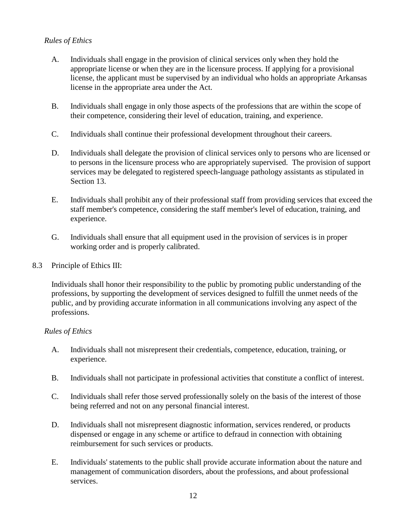## *Rules of Ethics*

- A. Individuals shall engage in the provision of clinical services only when they hold the appropriate license or when they are in the licensure process. If applying for a provisional license, the applicant must be supervised by an individual who holds an appropriate Arkansas license in the appropriate area under the Act.
- B. Individuals shall engage in only those aspects of the professions that are within the scope of their competence, considering their level of education, training, and experience.
- C. Individuals shall continue their professional development throughout their careers.
- D. Individuals shall delegate the provision of clinical services only to persons who are licensed or to persons in the licensure process who are appropriately supervised. The provision of support services may be delegated to registered speech-language pathology assistants as stipulated in Section 13.
- E. Individuals shall prohibit any of their professional staff from providing services that exceed the staff member's competence, considering the staff member's level of education, training, and experience.
- G. Individuals shall ensure that all equipment used in the provision of services is in proper working order and is properly calibrated.
- 8.3 Principle of Ethics III:

Individuals shall honor their responsibility to the public by promoting public understanding of the professions, by supporting the development of services designed to fulfill the unmet needs of the public, and by providing accurate information in all communications involving any aspect of the professions.

## *Rules of Ethics*

- A. Individuals shall not misrepresent their credentials, competence, education, training, or experience.
- B. Individuals shall not participate in professional activities that constitute a conflict of interest.
- C. Individuals shall refer those served professionally solely on the basis of the interest of those being referred and not on any personal financial interest.
- D. Individuals shall not misrepresent diagnostic information, services rendered, or products dispensed or engage in any scheme or artifice to defraud in connection with obtaining reimbursement for such services or products.
- E. Individuals' statements to the public shall provide accurate information about the nature and management of communication disorders, about the professions, and about professional services.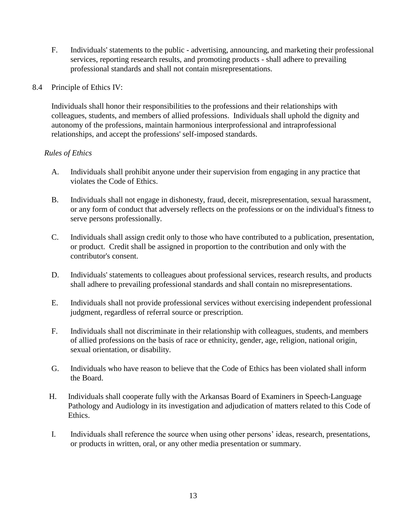- F. Individuals' statements to the public advertising, announcing, and marketing their professional services, reporting research results, and promoting products - shall adhere to prevailing professional standards and shall not contain misrepresentations.
- 8.4 Principle of Ethics IV:

Individuals shall honor their responsibilities to the professions and their relationships with colleagues, students, and members of allied professions. Individuals shall uphold the dignity and autonomy of the professions, maintain harmonious interprofessional and intraprofessional relationships, and accept the professions' self-imposed standards.

## *Rules of Ethics*

- A. Individuals shall prohibit anyone under their supervision from engaging in any practice that violates the Code of Ethics.
- B. Individuals shall not engage in dishonesty, fraud, deceit, misrepresentation, sexual harassment, or any form of conduct that adversely reflects on the professions or on the individual's fitness to serve persons professionally.
- C. Individuals shall assign credit only to those who have contributed to a publication, presentation, or product. Credit shall be assigned in proportion to the contribution and only with the contributor's consent.
- D. Individuals' statements to colleagues about professional services, research results, and products shall adhere to prevailing professional standards and shall contain no misrepresentations.
- E. Individuals shall not provide professional services without exercising independent professional judgment, regardless of referral source or prescription.
- F. Individuals shall not discriminate in their relationship with colleagues, students, and members of allied professions on the basis of race or ethnicity, gender, age, religion, national origin, sexual orientation, or disability.
- G. Individuals who have reason to believe that the Code of Ethics has been violated shall inform the Board.
- H. Individuals shall cooperate fully with the Arkansas Board of Examiners in Speech-Language Pathology and Audiology in its investigation and adjudication of matters related to this Code of Ethics.
- I. Individuals shall reference the source when using other persons' ideas, research, presentations, or products in written, oral, or any other media presentation or summary.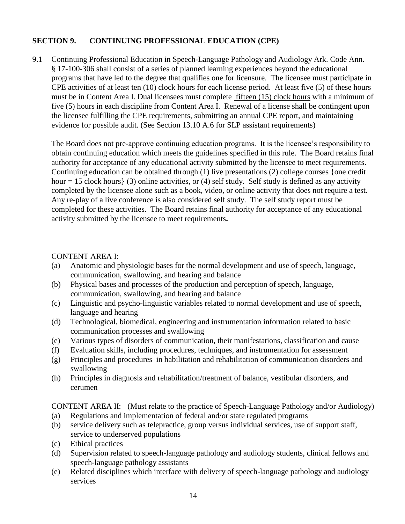## **SECTION 9. CONTINUING PROFESSIONAL EDUCATION (CPE)**

9.1 Continuing Professional Education in Speech-Language Pathology and Audiology Ark. Code Ann. § 17-100-306 shall consist of a series of planned learning experiences beyond the educational programs that have led to the degree that qualifies one for licensure. The licensee must participate in CPE activities of at least ten (10) clock hours for each license period. At least five (5) of these hours must be in Content Area I. Dual licensees must complete fifteen (15) clock hours with a minimum of five (5) hours in each discipline from Content Area I. Renewal of a license shall be contingent upon the licensee fulfilling the CPE requirements, submitting an annual CPE report, and maintaining evidence for possible audit. (See Section 13.10 A.6 for SLP assistant requirements)

The Board does not pre-approve continuing education programs. It is the licensee's responsibility to obtain continuing education which meets the guidelines specified in this rule. The Board retains final authority for acceptance of any educational activity submitted by the licensee to meet requirements. Continuing education can be obtained through (1) live presentations (2) college courses {one credit hour = 15 clock hours} (3) online activities, or (4) self study. Self study is defined as any activity completed by the licensee alone such as a book, video, or online activity that does not require a test. Any re-play of a live conference is also considered self study. The self study report must be completed for these activities. The Board retains final authority for acceptance of any educational activity submitted by the licensee to meet requirements**.**

## CONTENT AREA I:

- (a) Anatomic and physiologic bases for the normal development and use of speech, language, communication, swallowing, and hearing and balance
- (b) Physical bases and processes of the production and perception of speech, language, communication, swallowing, and hearing and balance
- (c) Linguistic and psycho-linguistic variables related to normal development and use of speech, language and hearing
- (d) Technological, biomedical, engineering and instrumentation information related to basic communication processes and swallowing
- (e) Various types of disorders of communication, their manifestations, classification and cause
- (f) Evaluation skills, including procedures, techniques, and instrumentation for assessment
- (g) Principles and procedures in habilitation and rehabilitation of communication disorders and swallowing
- (h) Principles in diagnosis and rehabilitation/treatment of balance, vestibular disorders, and cerumen

CONTENT AREA II: (Must relate to the practice of Speech-Language Pathology and/or Audiology)

- (a) Regulations and implementation of federal and/or state regulated programs
- (b) service delivery such as telepractice, group versus individual services, use of support staff, service to underserved populations
- (c) Ethical practices
- (d) Supervision related to speech-language pathology and audiology students, clinical fellows and speech-language pathology assistants
- (e) Related disciplines which interface with delivery of speech-language pathology and audiology services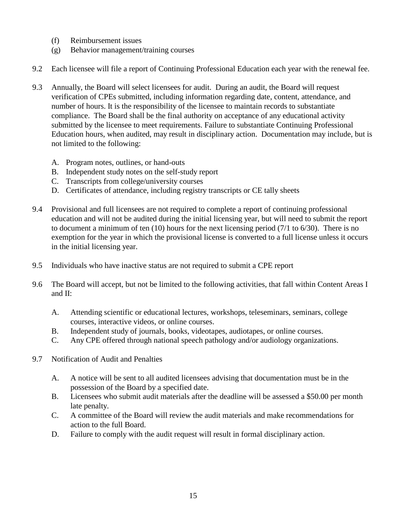- (f) Reimbursement issues
- (g) Behavior management/training courses
- 9.2 Each licensee will file a report of Continuing Professional Education each year with the renewal fee.
- 9.3 Annually, the Board will select licensees for audit. During an audit, the Board will request verification of CPEs submitted, including information regarding date, content, attendance, and number of hours. It is the responsibility of the licensee to maintain records to substantiate compliance. The Board shall be the final authority on acceptance of any educational activity submitted by the licensee to meet requirements. Failure to substantiate Continuing Professional Education hours, when audited, may result in disciplinary action. Documentation may include, but is not limited to the following:
	- A. Program notes, outlines, or hand-outs
	- B. Independent study notes on the self-study report
	- C. Transcripts from college/university courses
	- D. Certificates of attendance, including registry transcripts or CE tally sheets
- 9.4 Provisional and full licensees are not required to complete a report of continuing professional education and will not be audited during the initial licensing year, but will need to submit the report to document a minimum of ten (10) hours for the next licensing period (7/1 to 6/30). There is no exemption for the year in which the provisional license is converted to a full license unless it occurs in the initial licensing year.
- 9.5 Individuals who have inactive status are not required to submit a CPE report
- 9.6 The Board will accept, but not be limited to the following activities, that fall within Content Areas I and II:
	- A. Attending scientific or educational lectures, workshops, teleseminars, seminars, college courses, interactive videos, or online courses.
	- B. Independent study of journals, books, videotapes, audiotapes, or online courses.
	- C. Any CPE offered through national speech pathology and/or audiology organizations.
- 9.7 Notification of Audit and Penalties
	- A. A notice will be sent to all audited licensees advising that documentation must be in the possession of the Board by a specified date.
	- B. Licensees who submit audit materials after the deadline will be assessed a \$50.00 per month late penalty.
	- C. A committee of the Board will review the audit materials and make recommendations for action to the full Board.
	- D. Failure to comply with the audit request will result in formal disciplinary action.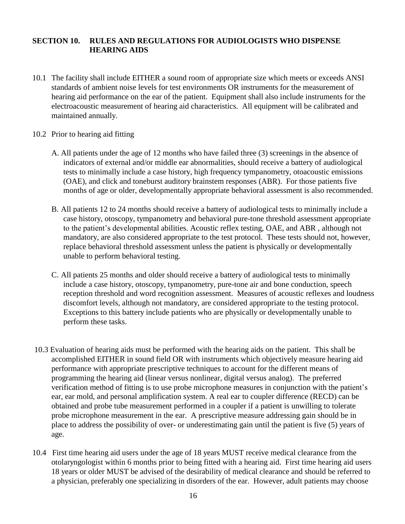## **SECTION 10. RULES AND REGULATIONS FOR AUDIOLOGISTS WHO DISPENSE HEARING AIDS**

10.1 The facility shall include EITHER a sound room of appropriate size which meets or exceeds ANSI standards of ambient noise levels for test environments OR instruments for the measurement of hearing aid performance on the ear of the patient. Equipment shall also include instruments for the electroacoustic measurement of hearing aid characteristics. All equipment will be calibrated and maintained annually.

#### 10.2 Prior to hearing aid fitting

- A. All patients under the age of 12 months who have failed three (3) screenings in the absence of indicators of external and/or middle ear abnormalities, should receive a battery of audiological tests to minimally include a case history, high frequency tympanometry, otoacoustic emissions (OAE), and click and toneburst auditory brainstem responses (ABR). For those patients five months of age or older, developmentally appropriate behavioral assessment is also recommended.
- B. All patients 12 to 24 months should receive a battery of audiological tests to minimally include a case history, otoscopy, tympanometry and behavioral pure-tone threshold assessment appropriate to the patient's developmental abilities. Acoustic reflex testing, OAE, and ABR , although not mandatory, are also considered appropriate to the test protocol. These tests should not, however, replace behavioral threshold assessment unless the patient is physically or developmentally unable to perform behavioral testing.
- C. All patients 25 months and older should receive a battery of audiological tests to minimally include a case history, otoscopy, tympanometry, pure-tone air and bone conduction, speech reception threshold and word recognition assessment. Measures of acoustic reflexes and loudness discomfort levels, although not mandatory, are considered appropriate to the testing protocol. Exceptions to this battery include patients who are physically or developmentally unable to perform these tasks.
- 10.3 Evaluation of hearing aids must be performed with the hearing aids on the patient. This shall be accomplished EITHER in sound field OR with instruments which objectively measure hearing aid performance with appropriate prescriptive techniques to account for the different means of programming the hearing aid (linear versus nonlinear, digital versus analog). The preferred verification method of fitting is to use probe microphone measures in conjunction with the patient's ear, ear mold, and personal amplification system. A real ear to coupler difference (RECD) can be obtained and probe tube measurement performed in a coupler if a patient is unwilling to tolerate probe microphone measurement in the ear. A prescriptive measure addressing gain should be in place to address the possibility of over- or underestimating gain until the patient is five (5) years of age.
- 10.4 First time hearing aid users under the age of 18 years MUST receive medical clearance from the otolaryngologist within 6 months prior to being fitted with a hearing aid. First time hearing aid users 18 years or older MUST be advised of the desirability of medical clearance and should be referred to a physician, preferably one specializing in disorders of the ear. However, adult patients may choose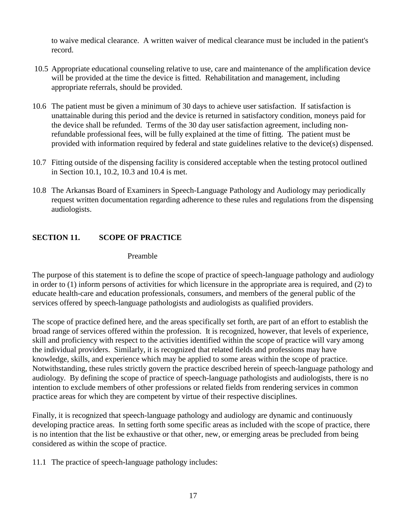to waive medical clearance. A written waiver of medical clearance must be included in the patient's record.

- 10.5 Appropriate educational counseling relative to use, care and maintenance of the amplification device will be provided at the time the device is fitted. Rehabilitation and management, including appropriate referrals, should be provided.
- 10.6 The patient must be given a minimum of 30 days to achieve user satisfaction. If satisfaction is unattainable during this period and the device is returned in satisfactory condition, moneys paid for the device shall be refunded. Terms of the 30 day user satisfaction agreement, including nonrefundable professional fees, will be fully explained at the time of fitting. The patient must be provided with information required by federal and state guidelines relative to the device(s) dispensed.
- 10.7 Fitting outside of the dispensing facility is considered acceptable when the testing protocol outlined in Section 10.1, 10.2, 10.3 and 10.4 is met.
- 10.8 The Arkansas Board of Examiners in Speech-Language Pathology and Audiology may periodically request written documentation regarding adherence to these rules and regulations from the dispensing audiologists.

# **SECTION 11. SCOPE OF PRACTICE**

#### Preamble

The purpose of this statement is to define the scope of practice of speech-language pathology and audiology in order to (1) inform persons of activities for which licensure in the appropriate area is required, and (2) to educate health-care and education professionals, consumers, and members of the general public of the services offered by speech-language pathologists and audiologists as qualified providers.

The scope of practice defined here, and the areas specifically set forth, are part of an effort to establish the broad range of services offered within the profession. It is recognized, however, that levels of experience, skill and proficiency with respect to the activities identified within the scope of practice will vary among the individual providers. Similarly, it is recognized that related fields and professions may have knowledge, skills, and experience which may be applied to some areas within the scope of practice. Notwithstanding, these rules strictly govern the practice described herein of speech-language pathology and audiology. By defining the scope of practice of speech-language pathologists and audiologists, there is no intention to exclude members of other professions or related fields from rendering services in common practice areas for which they are competent by virtue of their respective disciplines.

Finally, it is recognized that speech-language pathology and audiology are dynamic and continuously developing practice areas. In setting forth some specific areas as included with the scope of practice, there is no intention that the list be exhaustive or that other, new, or emerging areas be precluded from being considered as within the scope of practice.

11.1 The practice of speech-language pathology includes: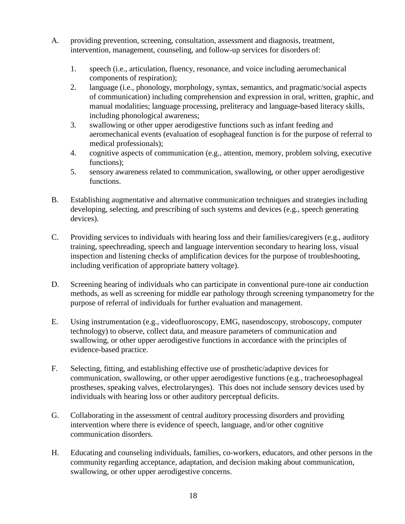- A. providing prevention, screening, consultation, assessment and diagnosis, treatment, intervention, management, counseling, and follow-up services for disorders of:
	- 1. speech (i.e., articulation, fluency, resonance, and voice including aeromechanical components of respiration);
	- 2. language (i.e., phonology, morphology, syntax, semantics, and pragmatic/social aspects of communication) including comprehension and expression in oral, written, graphic, and manual modalities; language processing, preliteracy and language-based literacy skills, including phonological awareness;
	- 3. swallowing or other upper aerodigestive functions such as infant feeding and aeromechanical events (evaluation of esophageal function is for the purpose of referral to medical professionals);
	- 4. cognitive aspects of communication (e.g., attention, memory, problem solving, executive functions);
	- 5. sensory awareness related to communication, swallowing, or other upper aerodigestive functions.
- B. Establishing augmentative and alternative communication techniques and strategies including developing, selecting, and prescribing of such systems and devices (e.g., speech generating devices).
- C. Providing services to individuals with hearing loss and their families/caregivers (e.g., auditory training, speechreading, speech and language intervention secondary to hearing loss, visual inspection and listening checks of amplification devices for the purpose of troubleshooting, including verification of appropriate battery voltage).
- D. Screening hearing of individuals who can participate in conventional pure-tone air conduction methods, as well as screening for middle ear pathology through screening tympanometry for the purpose of referral of individuals for further evaluation and management.
- E. Using instrumentation (e.g., videofluoroscopy, EMG, nasendoscopy, stroboscopy, computer technology) to observe, collect data, and measure parameters of communication and swallowing, or other upper aerodigestive functions in accordance with the principles of evidence-based practice.
- F. Selecting, fitting, and establishing effective use of prosthetic/adaptive devices for communication, swallowing, or other upper aerodigestive functions (e.g., tracheoesophageal prostheses, speaking valves, electrolarynges). This does not include sensory devices used by individuals with hearing loss or other auditory perceptual deficits.
- G. Collaborating in the assessment of central auditory processing disorders and providing intervention where there is evidence of speech, language, and/or other cognitive communication disorders.
- H. Educating and counseling individuals, families, co-workers, educators, and other persons in the community regarding acceptance, adaptation, and decision making about communication, swallowing, or other upper aerodigestive concerns.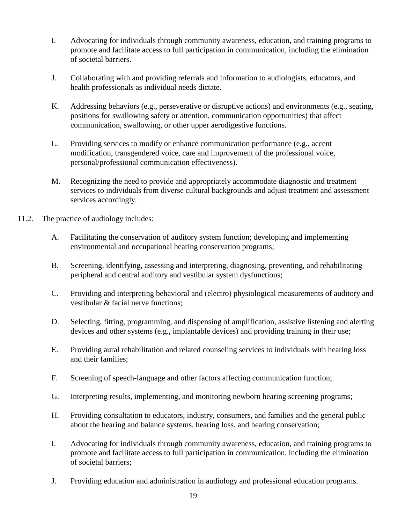- I. Advocating for individuals through community awareness, education, and training programs to promote and facilitate access to full participation in communication, including the elimination of societal barriers.
- J. Collaborating with and providing referrals and information to audiologists, educators, and health professionals as individual needs dictate.
- K. Addressing behaviors (e.g., perseverative or disruptive actions) and environments (e.g., seating, positions for swallowing safety or attention, communication opportunities) that affect communication, swallowing, or other upper aerodigestive functions.
- L. Providing services to modify or enhance communication performance (e.g., accent modification, transgendered voice, care and improvement of the professional voice, personal/professional communication effectiveness).
- M. Recognizing the need to provide and appropriately accommodate diagnostic and treatment services to individuals from diverse cultural backgrounds and adjust treatment and assessment services accordingly.
- 11.2. The practice of audiology includes:
	- A. Facilitating the conservation of auditory system function; developing and implementing environmental and occupational hearing conservation programs;
	- B. Screening, identifying, assessing and interpreting, diagnosing, preventing, and rehabilitating peripheral and central auditory and vestibular system dysfunctions;
	- C. Providing and interpreting behavioral and (electro) physiological measurements of auditory and vestibular & facial nerve functions;
	- D. Selecting, fitting, programming, and dispensing of amplification, assistive listening and alerting devices and other systems (e.g., implantable devices) and providing training in their use;
	- E. Providing aural rehabilitation and related counseling services to individuals with hearing loss and their families;
	- F. Screening of speech-language and other factors affecting communication function;
	- G. Interpreting results, implementing, and monitoring newborn hearing screening programs;
	- H. Providing consultation to educators, industry, consumers, and families and the general public about the hearing and balance systems, hearing loss, and hearing conservation;
	- I. Advocating for individuals through community awareness, education, and training programs to promote and facilitate access to full participation in communication, including the elimination of societal barriers;
	- J. Providing education and administration in audiology and professional education programs.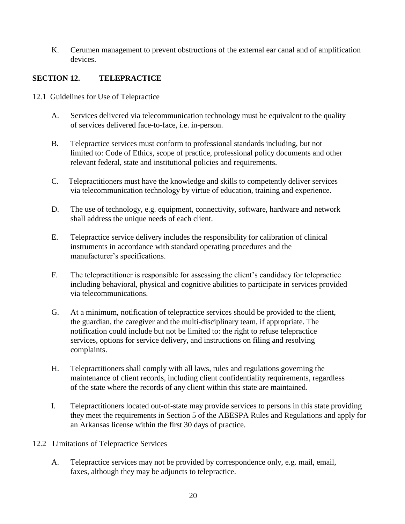K. Cerumen management to prevent obstructions of the external ear canal and of amplification devices.

# **SECTION 12. TELEPRACTICE**

- 12.1 Guidelines for Use of Telepractice
	- A. Services delivered via telecommunication technology must be equivalent to the quality of services delivered face-to-face, i.e. in-person.
	- B. Telepractice services must conform to professional standards including, but not limited to: Code of Ethics, scope of practice, professional policy documents and other relevant federal, state and institutional policies and requirements.
	- C. Telepractitioners must have the knowledge and skills to competently deliver services via telecommunication technology by virtue of education, training and experience.
	- D. The use of technology, e.g. equipment, connectivity, software, hardware and network shall address the unique needs of each client.
	- E. Telepractice service delivery includes the responsibility for calibration of clinical instruments in accordance with standard operating procedures and the manufacturer's specifications.
	- F. The telepractitioner is responsible for assessing the client's candidacy for telepractice including behavioral, physical and cognitive abilities to participate in services provided via telecommunications.
	- G. At a minimum, notification of telepractice services should be provided to the client, the guardian, the caregiver and the multi-disciplinary team, if appropriate. The notification could include but not be limited to: the right to refuse telepractice services, options for service delivery, and instructions on filing and resolving complaints.
	- H. Telepractitioners shall comply with all laws, rules and regulations governing the maintenance of client records, including client confidentiality requirements, regardless of the state where the records of any client within this state are maintained.
	- I. Telepractitioners located out-of-state may provide services to persons in this state providing they meet the requirements in Section 5 of the ABESPA Rules and Regulations and apply for an Arkansas license within the first 30 days of practice.
- 12.2 Limitations of Telepractice Services
	- A. Telepractice services may not be provided by correspondence only, e.g. mail, email, faxes, although they may be adjuncts to telepractice.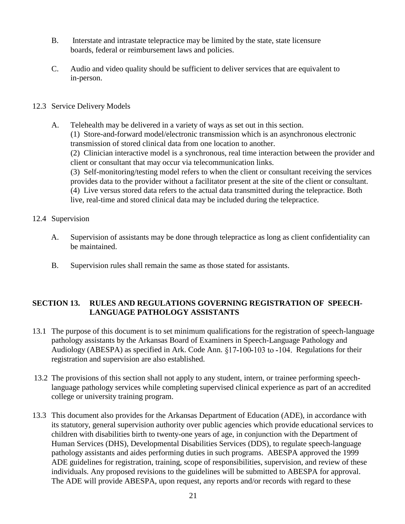- B. Interstate and intrastate telepractice may be limited by the state, state licensure boards, federal or reimbursement laws and policies.
- C. Audio and video quality should be sufficient to deliver services that are equivalent to in-person.

#### 12.3 Service Delivery Models

A. Telehealth may be delivered in a variety of ways as set out in this section. (1) Store-and-forward model/electronic transmission which is an asynchronous electronic transmission of stored clinical data from one location to another. (2) Clinician interactive model is a synchronous, real time interaction between the provider and client or consultant that may occur via telecommunication links. (3) Self-monitoring/testing model refers to when the client or consultant receiving the services provides data to the provider without a facilitator present at the site of the client or consultant. (4) Live versus stored data refers to the actual data transmitted during the telepractice. Both live, real-time and stored clinical data may be included during the telepractice.

#### 12.4 Supervision

- A. Supervision of assistants may be done through telepractice as long as client confidentiality can be maintained.
- B. Supervision rules shall remain the same as those stated for assistants.

## **SECTION 13. RULES AND REGULATIONS GOVERNING REGISTRATION OF SPEECH-LANGUAGE PATHOLOGY ASSISTANTS**

- 13.1 The purpose of this document is to set minimum qualifications for the registration of speech-language pathology assistants by the Arkansas Board of Examiners in Speech-Language Pathology and Audiology (ABESPA) as specified in Ark. Code Ann.  $\S17-100-103$  to  $-104$ . Regulations for their registration and supervision are also established.
- 13.2 The provisions of this section shall not apply to any student, intern, or trainee performing speechlanguage pathology services while completing supervised clinical experience as part of an accredited college or university training program.
- 13.3 This document also provides for the Arkansas Department of Education (ADE), in accordance with its statutory, general supervision authority over public agencies which provide educational services to children with disabilities birth to twenty-one years of age, in conjunction with the Department of Human Services (DHS), Developmental Disabilities Services (DDS), to regulate speech-language pathology assistants and aides performing duties in such programs. ABESPA approved the 1999 ADE guidelines for registration, training, scope of responsibilities, supervision, and review of these individuals. Any proposed revisions to the guidelines will be submitted to ABESPA for approval. The ADE will provide ABESPA, upon request, any reports and/or records with regard to these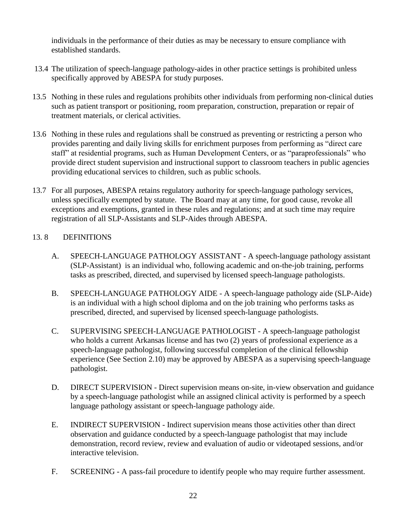individuals in the performance of their duties as may be necessary to ensure compliance with established standards.

- 13.4 The utilization of speech-language pathology-aides in other practice settings is prohibited unless specifically approved by ABESPA for study purposes.
- 13.5 Nothing in these rules and regulations prohibits other individuals from performing non-clinical duties such as patient transport or positioning, room preparation, construction, preparation or repair of treatment materials, or clerical activities.
- 13.6 Nothing in these rules and regulations shall be construed as preventing or restricting a person who provides parenting and daily living skills for enrichment purposes from performing as "direct care staff" at residential programs, such as Human Development Centers, or as "paraprofessionals" who provide direct student supervision and instructional support to classroom teachers in public agencies providing educational services to children, such as public schools.
- 13.7 For all purposes, ABESPA retains regulatory authority for speech-language pathology services, unless specifically exempted by statute. The Board may at any time, for good cause, revoke all exceptions and exemptions, granted in these rules and regulations; and at such time may require registration of all SLP-Assistants and SLP-Aides through ABESPA.

## 13. 8 DEFINITIONS

- A. SPEECH-LANGUAGE PATHOLOGY ASSISTANT A speech-language pathology assistant (SLP-Assistant) is an individual who, following academic and on-the-job training, performs tasks as prescribed, directed, and supervised by licensed speech-language pathologists.
- B. SPEECH-LANGUAGE PATHOLOGY AIDE A speech-language pathology aide (SLP-Aide) is an individual with a high school diploma and on the job training who performs tasks as prescribed, directed, and supervised by licensed speech-language pathologists.
- C. SUPERVISING SPEECH-LANGUAGE PATHOLOGIST A speech-language pathologist who holds a current Arkansas license and has two (2) years of professional experience as a speech-language pathologist, following successful completion of the clinical fellowship experience (See Section 2.10) may be approved by ABESPA as a supervising speech-language pathologist.
- D. DIRECT SUPERVISION Direct supervision means on-site, in-view observation and guidance by a speech-language pathologist while an assigned clinical activity is performed by a speech language pathology assistant or speech-language pathology aide.
- E. INDIRECT SUPERVISION Indirect supervision means those activities other than direct observation and guidance conducted by a speech-language pathologist that may include demonstration, record review, review and evaluation of audio or videotaped sessions, and/or interactive television.
- F. SCREENING A pass-fail procedure to identify people who may require further assessment.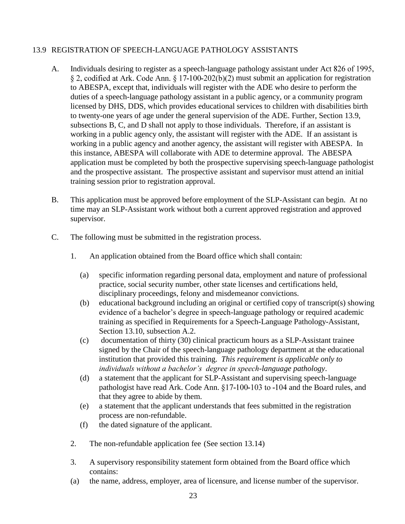## 13.9 REGISTRATION OF SPEECH-LANGUAGE PATHOLOGY ASSISTANTS

- A. Individuals desiring to register as a speech-language pathology assistant under Act 826 of 1995,  $\S$  2, codified at Ark. Code Ann.  $\S$  17-100-202(b)(2) must submit an application for registration to ABESPA, except that, individuals will register with the ADE who desire to perform the duties of a speech-language pathology assistant in a public agency, or a community program licensed by DHS, DDS, which provides educational services to children with disabilities birth to twenty-one years of age under the general supervision of the ADE. Further, Section 13.9, subsections B, C, and D shall not apply to those individuals. Therefore, if an assistant is working in a public agency only, the assistant will register with the ADE. If an assistant is working in a public agency and another agency, the assistant will register with ABESPA. In this instance, ABESPA will collaborate with ADE to determine approval. The ABESPA application must be completed by both the prospective supervising speech-language pathologist and the prospective assistant. The prospective assistant and supervisor must attend an initial training session prior to registration approval.
- B. This application must be approved before employment of the SLP-Assistant can begin. At no time may an SLP-Assistant work without both a current approved registration and approved supervisor.
- C. The following must be submitted in the registration process.
	- 1. An application obtained from the Board office which shall contain:
		- (a) specific information regarding personal data, employment and nature of professional practice, social security number, other state licenses and certifications held, disciplinary proceedings, felony and misdemeanor convictions.
		- (b) educational background including an original or certified copy of transcript(s) showing evidence of a bachelor's degree in speech-language pathology or required academic training as specified in Requirements for a Speech-Language Pathology-Assistant, Section 13.10, subsection A.2.
		- (c) documentation of thirty (30) clinical practicum hours as a SLP-Assistant trainee signed by the Chair of the speech-language pathology department at the educational institution that provided this training. *This requirement is applicable only to individuals without a bachelor's degree in speech-language pathology*.
		- (d) a statement that the applicant for SLP-Assistant and supervising speech-language pathologist have read Ark. Code Ann.  $\S17-100-103$  to  $-104$  and the Board rules, and that they agree to abide by them.
		- (e) a statement that the applicant understands that fees submitted in the registration process are non-refundable.
		- (f) the dated signature of the applicant.
	- 2. The non-refundable application fee (See section 13.14)
	- 3. A supervisory responsibility statement form obtained from the Board office which contains:
	- (a) the name, address, employer, area of licensure, and license number of the supervisor.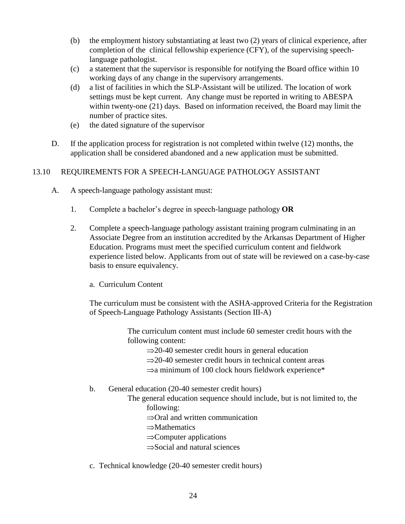- (b) the employment history substantiating at least two (2) years of clinical experience, after completion of the clinical fellowship experience (CFY), of the supervising speechlanguage pathologist.
- (c) a statement that the supervisor is responsible for notifying the Board office within 10 working days of any change in the supervisory arrangements.
- (d) a list of facilities in which the SLP-Assistant will be utilized. The location of work settings must be kept current. Any change must be reported in writing to ABESPA within twenty-one (21) days. Based on information received, the Board may limit the number of practice sites.
- (e) the dated signature of the supervisor
- D. If the application process for registration is not completed within twelve (12) months, the application shall be considered abandoned and a new application must be submitted.

## 13.10 REQUIREMENTS FOR A SPEECH-LANGUAGE PATHOLOGY ASSISTANT

- A. A speech-language pathology assistant must:
	- 1. Complete a bachelor's degree in speech-language pathology **OR**
	- 2. Complete a speech-language pathology assistant training program culminating in an Associate Degree from an institution accredited by the Arkansas Department of Higher Education. Programs must meet the specified curriculum content and fieldwork experience listed below. Applicants from out of state will be reviewed on a case-by-case basis to ensure equivalency.
		- a. Curriculum Content

The curriculum must be consistent with the ASHA-approved Criteria for the Registration of Speech-Language Pathology Assistants (Section III-A)

> The curriculum content must include 60 semester credit hours with the following content:

- $\Rightarrow$  20-40 semester credit hours in general education
- $\Rightarrow$  20-40 semester credit hours in technical content areas
- $\Rightarrow$  a minimum of 100 clock hours fieldwork experience\*
- b. General education (20-40 semester credit hours)
	- The general education sequence should include, but is not limited to, the following:
		-
		- $\Rightarrow$ Oral and written communication
		- $\Rightarrow$ Mathematics
		- $\Rightarrow$ Computer applications
		- $\Rightarrow$ Social and natural sciences
- c. Technical knowledge (20-40 semester credit hours)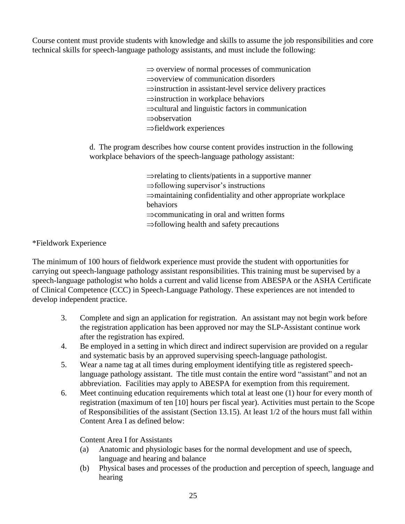Course content must provide students with knowledge and skills to assume the job responsibilities and core technical skills for speech-language pathology assistants, and must include the following:

- $\Rightarrow$  overview of normal processes of communication
- $\Rightarrow$  overview of communication disorders
- $\Rightarrow$  instruction in assistant-level service delivery practices
- $\Rightarrow$  instruction in workplace behaviors
- $\Rightarrow$  cultural and linguistic factors in communication
- $\Rightarrow$ observation
- $\Rightarrow$  fieldwork experiences
- d. The program describes how course content provides instruction in the following workplace behaviors of the speech-language pathology assistant:
	- $\Rightarrow$  relating to clients/patients in a supportive manner  $\Rightarrow$  following supervisor's instructions  $\Rightarrow$  maintaining confidentiality and other appropriate workplace behaviors  $\Rightarrow$  communicating in oral and written forms  $\Rightarrow$  following health and safety precautions

\*Fieldwork Experience

The minimum of 100 hours of fieldwork experience must provide the student with opportunities for carrying out speech-language pathology assistant responsibilities. This training must be supervised by a speech-language pathologist who holds a current and valid license from ABESPA or the ASHA Certificate of Clinical Competence (CCC) in Speech-Language Pathology. These experiences are not intended to develop independent practice.

- 3. Complete and sign an application for registration. An assistant may not begin work before the registration application has been approved nor may the SLP-Assistant continue work after the registration has expired.
- 4. Be employed in a setting in which direct and indirect supervision are provided on a regular and systematic basis by an approved supervising speech-language pathologist.
- 5. Wear a name tag at all times during employment identifying title as registered speechlanguage pathology assistant. The title must contain the entire word "assistant" and not an abbreviation. Facilities may apply to ABESPA for exemption from this requirement.
- 6. Meet continuing education requirements which total at least one (1) hour for every month of registration (maximum of ten [10] hours per fiscal year). Activities must pertain to the Scope of Responsibilities of the assistant (Section 13.15). At least 1/2 of the hours must fall within Content Area I as defined below:

Content Area I for Assistants

- (a) Anatomic and physiologic bases for the normal development and use of speech, language and hearing and balance
- (b) Physical bases and processes of the production and perception of speech, language and hearing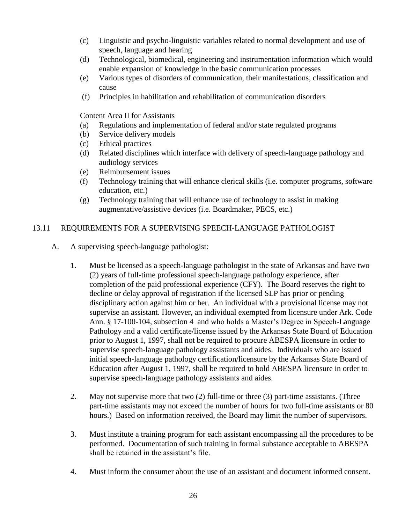- (c) Linguistic and psycho-linguistic variables related to normal development and use of speech, language and hearing
- (d) Technological, biomedical, engineering and instrumentation information which would enable expansion of knowledge in the basic communication processes
- (e) Various types of disorders of communication, their manifestations, classification and cause
- (f) Principles in habilitation and rehabilitation of communication disorders

Content Area II for Assistants

- (a) Regulations and implementation of federal and/or state regulated programs
- (b) Service delivery models
- (c) Ethical practices
- (d) Related disciplines which interface with delivery of speech-language pathology and audiology services
- (e) Reimbursement issues
- (f) Technology training that will enhance clerical skills (i.e. computer programs, software education, etc.)
- (g) Technology training that will enhance use of technology to assist in making augmentative/assistive devices (i.e. Boardmaker, PECS, etc.)

## 13.11 REQUIREMENTS FOR A SUPERVISING SPEECH-LANGUAGE PATHOLOGIST

- A. A supervising speech-language pathologist:
	- 1. Must be licensed as a speech-language pathologist in the state of Arkansas and have two (2) years of full-time professional speech-language pathology experience, after completion of the paid professional experience (CFY). The Board reserves the right to decline or delay approval of registration if the licensed SLP has prior or pending disciplinary action against him or her. An individual with a provisional license may not supervise an assistant. However, an individual exempted from licensure under Ark. Code Ann. § 17-100-104, subsection 4 and who holds a Master's Degree in Speech-Language Pathology and a valid certificate/license issued by the Arkansas State Board of Education prior to August 1, 1997, shall not be required to procure ABESPA licensure in order to supervise speech-language pathology assistants and aides. Individuals who are issued initial speech-language pathology certification/licensure by the Arkansas State Board of Education after August 1, 1997, shall be required to hold ABESPA licensure in order to supervise speech-language pathology assistants and aides.
	- 2. May not supervise more that two (2) full-time or three (3) part-time assistants. (Three part-time assistants may not exceed the number of hours for two full-time assistants or 80 hours.) Based on information received, the Board may limit the number of supervisors.
	- 3. Must institute a training program for each assistant encompassing all the procedures to be performed. Documentation of such training in formal substance acceptable to ABESPA shall be retained in the assistant's file.
	- 4. Must inform the consumer about the use of an assistant and document informed consent.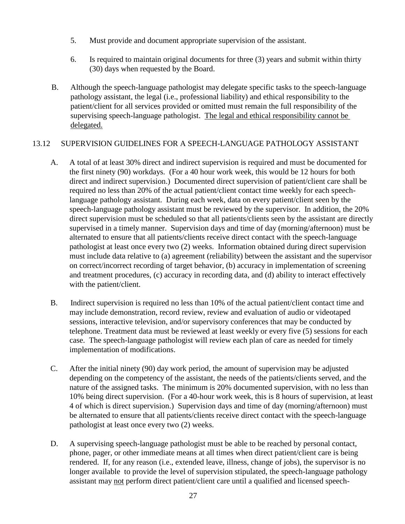- 5. Must provide and document appropriate supervision of the assistant.
- 6. Is required to maintain original documents for three (3) years and submit within thirty (30) days when requested by the Board.
- B. Although the speech-language pathologist may delegate specific tasks to the speech-language pathology assistant, the legal (i.e., professional liability) and ethical responsibility to the patient/client for all services provided or omitted must remain the full responsibility of the supervising speech-language pathologist. The legal and ethical responsibility cannot be delegated.

## 13.12 SUPERVISION GUIDELINES FOR A SPEECH-LANGUAGE PATHOLOGY ASSISTANT

- A. A total of at least 30% direct and indirect supervision is required and must be documented for the first ninety (90) workdays. (For a 40 hour work week, this would be 12 hours for both direct and indirect supervision.) Documented direct supervision of patient/client care shall be required no less than 20% of the actual patient/client contact time weekly for each speechlanguage pathology assistant. During each week, data on every patient/client seen by the speech-language pathology assistant must be reviewed by the supervisor. In addition, the 20% direct supervision must be scheduled so that all patients/clients seen by the assistant are directly supervised in a timely manner. Supervision days and time of day (morning/afternoon) must be alternated to ensure that all patients/clients receive direct contact with the speech-language pathologist at least once every two (2) weeks. Information obtained during direct supervision must include data relative to (a) agreement (reliability) between the assistant and the supervisor on correct/incorrect recording of target behavior, (b) accuracy in implementation of screening and treatment procedures, (c) accuracy in recording data, and (d) ability to interact effectively with the patient/client.
- B. Indirect supervision is required no less than 10% of the actual patient/client contact time and may include demonstration, record review, review and evaluation of audio or videotaped sessions, interactive television, and/or supervisory conferences that may be conducted by telephone. Treatment data must be reviewed at least weekly or every five (5) sessions for each case. The speech-language pathologist will review each plan of care as needed for timely implementation of modifications.
- C. After the initial ninety (90) day work period, the amount of supervision may be adjusted depending on the competency of the assistant, the needs of the patients/clients served, and the nature of the assigned tasks. The minimum is 20% documented supervision, with no less than 10% being direct supervision. (For a 40-hour work week, this is 8 hours of supervision, at least 4 of which is direct supervision.) Supervision days and time of day (morning/afternoon) must be alternated to ensure that all patients/clients receive direct contact with the speech-language pathologist at least once every two (2) weeks.
- D. A supervising speech-language pathologist must be able to be reached by personal contact, phone, pager, or other immediate means at all times when direct patient/client care is being rendered. If, for any reason (i.e., extended leave, illness, change of jobs), the supervisor is no longer available to provide the level of supervision stipulated, the speech-language pathology assistant may not perform direct patient/client care until a qualified and licensed speech-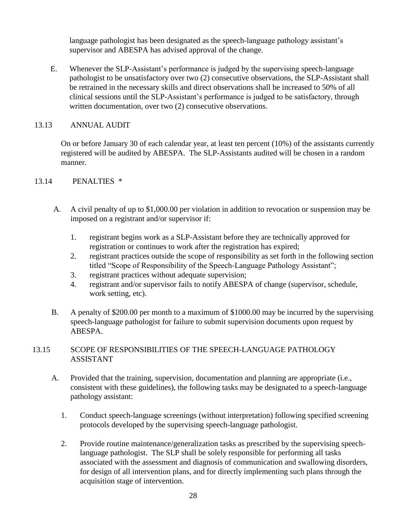language pathologist has been designated as the speech-language pathology assistant's supervisor and ABESPA has advised approval of the change.

E. Whenever the SLP-Assistant's performance is judged by the supervising speech-language pathologist to be unsatisfactory over two (2) consecutive observations, the SLP-Assistant shall be retrained in the necessary skills and direct observations shall be increased to 50% of all clinical sessions until the SLP-Assistant's performance is judged to be satisfactory, through written documentation, over two (2) consecutive observations.

## 13.13 ANNUAL AUDIT

On or before January 30 of each calendar year, at least ten percent (10%) of the assistants currently registered will be audited by ABESPA. The SLP-Assistants audited will be chosen in a random manner.

## 13.14 PENALTIES \*

- A. A civil penalty of up to \$1,000.00 per violation in addition to revocation or suspension may be imposed on a registrant and/or supervisor if:
	- 1. registrant begins work as a SLP-Assistant before they are technically approved for registration or continues to work after the registration has expired;
	- 2. registrant practices outside the scope of responsibility as set forth in the following section titled "Scope of Responsibility of the Speech-Language Pathology Assistant";
	- 3. registrant practices without adequate supervision;
	- 4. registrant and/or supervisor fails to notify ABESPA of change (supervisor, schedule, work setting, etc).
- B. A penalty of \$200.00 per month to a maximum of \$1000.00 may be incurred by the supervising speech-language pathologist for failure to submit supervision documents upon request by ABESPA.

## 13.15 SCOPE OF RESPONSIBILITIES OF THE SPEECH-LANGUAGE PATHOLOGY ASSISTANT

- A. Provided that the training, supervision, documentation and planning are appropriate (i.e., consistent with these guidelines), the following tasks may be designated to a speech-language pathology assistant:
	- 1. Conduct speech-language screenings (without interpretation) following specified screening protocols developed by the supervising speech-language pathologist.
	- 2. Provide routine maintenance/generalization tasks as prescribed by the supervising speechlanguage pathologist. The SLP shall be solely responsible for performing all tasks associated with the assessment and diagnosis of communication and swallowing disorders, for design of all intervention plans, and for directly implementing such plans through the acquisition stage of intervention.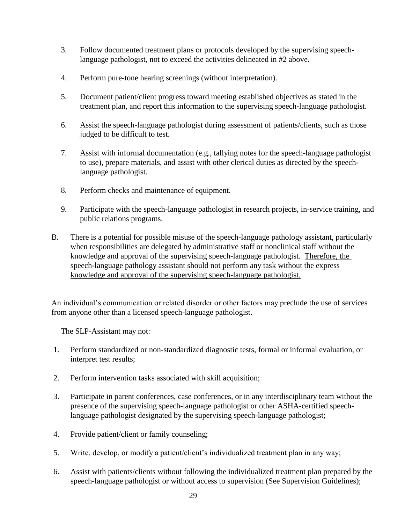- 3. Follow documented treatment plans or protocols developed by the supervising speechlanguage pathologist, not to exceed the activities delineated in #2 above.
- 4. Perform pure-tone hearing screenings (without interpretation).
- 5. Document patient/client progress toward meeting established objectives as stated in the treatment plan, and report this information to the supervising speech-language pathologist.
- 6. Assist the speech-language pathologist during assessment of patients/clients, such as those judged to be difficult to test.
- 7. Assist with informal documentation (e.g., tallying notes for the speech-language pathologist to use), prepare materials, and assist with other clerical duties as directed by the speechlanguage pathologist.
- 8. Perform checks and maintenance of equipment.
- 9. Participate with the speech-language pathologist in research projects, in-service training, and public relations programs.
- B. There is a potential for possible misuse of the speech-language pathology assistant, particularly when responsibilities are delegated by administrative staff or nonclinical staff without the knowledge and approval of the supervising speech-language pathologist. Therefore, the speech-language pathology assistant should not perform any task without the express knowledge and approval of the supervising speech-language pathologist.

An individual's communication or related disorder or other factors may preclude the use of services from anyone other than a licensed speech-language pathologist.

The SLP-Assistant may not:

- 1. Perform standardized or non-standardized diagnostic tests, formal or informal evaluation, or interpret test results;
- 2. Perform intervention tasks associated with skill acquisition;
- 3. Participate in parent conferences, case conferences, or in any interdisciplinary team without the presence of the supervising speech-language pathologist or other ASHA-certified speechlanguage pathologist designated by the supervising speech-language pathologist;
- 4. Provide patient/client or family counseling;
- 5. Write, develop, or modify a patient/client's individualized treatment plan in any way;
- 6. Assist with patients/clients without following the individualized treatment plan prepared by the speech-language pathologist or without access to supervision (See Supervision Guidelines);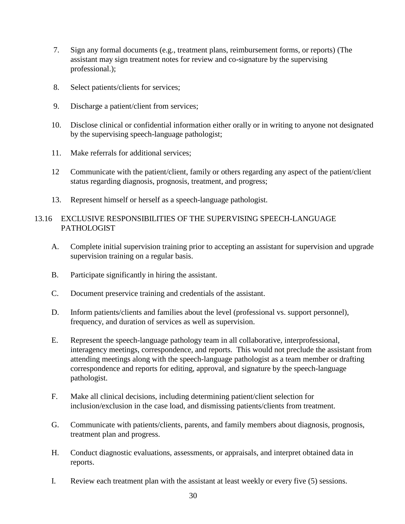- 7. Sign any formal documents (e.g., treatment plans, reimbursement forms, or reports) (The assistant may sign treatment notes for review and co-signature by the supervising professional.);
- 8. Select patients/clients for services;
- 9. Discharge a patient/client from services;
- 10. Disclose clinical or confidential information either orally or in writing to anyone not designated by the supervising speech-language pathologist;
- 11. Make referrals for additional services;
- 12 Communicate with the patient/client, family or others regarding any aspect of the patient/client status regarding diagnosis, prognosis, treatment, and progress;
- 13. Represent himself or herself as a speech-language pathologist.

## 13.16 EXCLUSIVE RESPONSIBILITIES OF THE SUPERVISING SPEECH-LANGUAGE PATHOLOGIST

- A. Complete initial supervision training prior to accepting an assistant for supervision and upgrade supervision training on a regular basis.
- B. Participate significantly in hiring the assistant.
- C. Document preservice training and credentials of the assistant.
- D. Inform patients/clients and families about the level (professional vs. support personnel), frequency, and duration of services as well as supervision.
- E. Represent the speech-language pathology team in all collaborative, interprofessional, interagency meetings, correspondence, and reports. This would not preclude the assistant from attending meetings along with the speech-language pathologist as a team member or drafting correspondence and reports for editing, approval, and signature by the speech-language pathologist.
- F. Make all clinical decisions, including determining patient/client selection for inclusion/exclusion in the case load, and dismissing patients/clients from treatment.
- G. Communicate with patients/clients, parents, and family members about diagnosis, prognosis, treatment plan and progress.
- H. Conduct diagnostic evaluations, assessments, or appraisals, and interpret obtained data in reports.
- I. Review each treatment plan with the assistant at least weekly or every five (5) sessions.